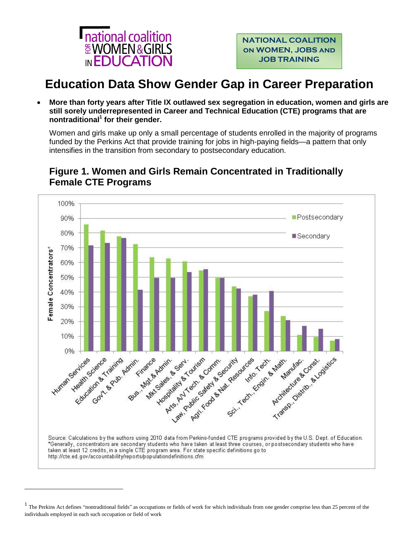

# **Education Data Show Gender Gap in Career Preparation**

 **More than forty years after Title IX outlawed sex segregation in education, women and girls are still sorely underrepresented in Career and Technical Education (CTE) programs that are nontraditional<sup>1</sup> for their gender.**

Women and girls make up only a small percentage of students enrolled in the majority of programs funded by the Perkins Act that provide training for jobs in high-paying fields—a pattern that only intensifies in the transition from secondary to postsecondary education.



### **Figure 1. Women and Girls Remain Concentrated in Traditionally Female CTE Programs**

l

 $1$  The Perkins Act defines "nontraditional fields" as occupations or fields of work for which individuals from one gender comprise less than 25 percent of the individuals employed in each such occupation or field of work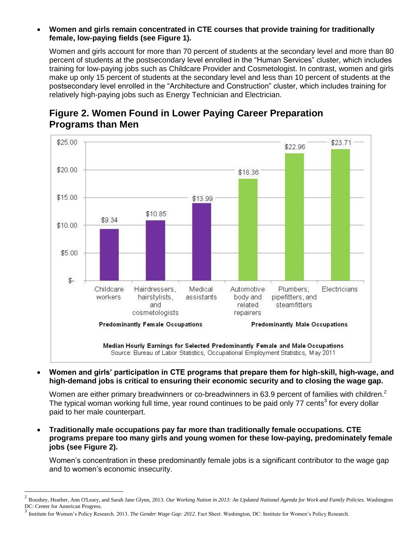#### **Women and girls remain concentrated in CTE courses that provide training for traditionally female, low-paying fields (see Figure 1).**

Women and girls account for more than 70 percent of students at the secondary level and more than 80 percent of students at the postsecondary level enrolled in the "Human Services" cluster, which includes training for low-paying jobs such as Childcare Provider and Cosmetologist. In contrast, women and girls make up only 15 percent of students at the secondary level and less than 10 percent of students at the postsecondary level enrolled in the "Architecture and Construction" cluster, which includes training for relatively high-paying jobs such as Energy Technician and Electrician.

![](_page_1_Figure_2.jpeg)

## **Figure 2. Women Found in Lower Paying Career Preparation Programs than Men**

 **Women and girls' participation in CTE programs that prepare them for high-skill, high-wage, and high-demand jobs is critical to ensuring their economic security and to closing the wage gap.** 

Women are either primary breadwinners or co-breadwinners in 63.9 percent of families with children.<sup>2</sup> The typical woman working full time, year round continues to be paid only 77 cents<sup>3</sup> for every dollar paid to her male counterpart.

 **Traditionally male occupations pay far more than traditionally female occupations. CTE programs prepare too many girls and young women for these low-paying, predominately female jobs (see Figure 2).** 

Women's concentration in these predominantly female jobs is a significant contributor to the wage gap and to women's economic insecurity.

 $\overline{\phantom{a}}$ 

<sup>2</sup> Boushey, Heather, Ann O'Leary, and Sarah Jane Glynn, 2013. *Our Working Nation in 2013: An Updated National Agenda for Work and Family Policies*. Washington DC: Center for American Progress.

<sup>&</sup>lt;sup>3</sup> Institute for Women's Policy Research. 2013. *The Gender Wage Gap: 2012*. Fact Sheet. Washington, DC: Institute for Women's Policy Research.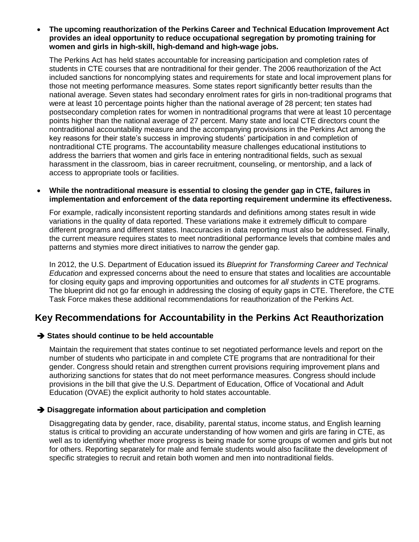#### **The upcoming reauthorization of the Perkins Career and Technical Education Improvement Act provides an ideal opportunity to reduce occupational segregation by promoting training for women and girls in high-skill, high-demand and high-wage jobs.**

The Perkins Act has held states accountable for increasing participation and completion rates of students in CTE courses that are nontraditional for their gender. The 2006 reauthorization of the Act included sanctions for noncomplying states and requirements for state and local improvement plans for those not meeting performance measures. Some states report significantly better results than the national average. Seven states had secondary enrolment rates for girls in non-traditional programs that were at least 10 percentage points higher than the national average of 28 percent; ten states had postsecondary completion rates for women in nontraditional programs that were at least 10 percentage points higher than the national average of 27 percent. Many state and local CTE directors count the nontraditional accountability measure and the accompanying provisions in the Perkins Act among the key reasons for their state's success in improving students' participation in and completion of nontraditional CTE programs. The accountability measure challenges educational institutions to address the barriers that women and girls face in entering nontraditional fields, such as sexual harassment in the classroom, bias in career recruitment, counseling, or mentorship, and a lack of access to appropriate tools or facilities.

#### **While the nontraditional measure is essential to closing the gender gap in CTE, failures in implementation and enforcement of the data reporting requirement undermine its effectiveness.**

For example, radically inconsistent reporting standards and definitions among states result in wide variations in the quality of data reported. These variations make it extremely difficult to compare different programs and different states. Inaccuracies in data reporting must also be addressed. Finally, the current measure requires states to meet nontraditional performance levels that combine males and patterns and stymies more direct initiatives to narrow the gender gap.

In 2012, the U.S. Department of Education issued its *Blueprint for Transforming Career and Technical Education* and expressed concerns about the need to ensure that states and localities are accountable for closing equity gaps and improving opportunities and outcomes for *all students* in CTE programs. The blueprint did not go far enough in addressing the closing of equity gaps in CTE. Therefore, the CTE Task Force makes these additional recommendations for reauthorization of the Perkins Act.

### **Key Recommendations for Accountability in the Perkins Act Reauthorization**

#### **→ States should continue to be held accountable**

Maintain the requirement that states continue to set negotiated performance levels and report on the number of students who participate in and complete CTE programs that are nontraditional for their gender. Congress should retain and strengthen current provisions requiring improvement plans and authorizing sanctions for states that do not meet performance measures. Congress should include provisions in the bill that give the U.S. Department of Education, Office of Vocational and Adult Education (OVAE) the explicit authority to hold states accountable.

#### **Disaggregate information about participation and completion**

Disaggregating data by gender, race, disability, parental status, income status, and English learning status is critical to providing an accurate understanding of how women and girls are faring in CTE, as well as to identifying whether more progress is being made for some groups of women and girls but not for others. Reporting separately for male and female students would also facilitate the development of specific strategies to recruit and retain both women and men into nontraditional fields.